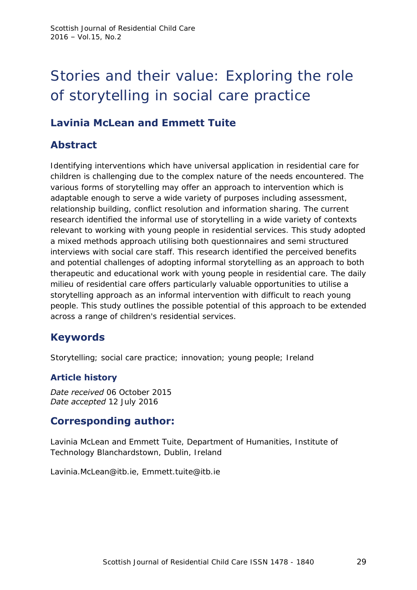# Stories and their value: Exploring the role of storytelling in social care practice

# **Lavinia McLean and Emmett Tuite**

# **Abstract**

Identifying interventions which have universal application in residential care for children is challenging due to the complex nature of the needs encountered. The various forms of storytelling may offer an approach to intervention which is adaptable enough to serve a wide variety of purposes including assessment, relationship building, conflict resolution and information sharing. The current research identified the informal use of storytelling in a wide variety of contexts relevant to working with young people in residential services. This study adopted a mixed methods approach utilising both questionnaires and semi structured interviews with social care staff. This research identified the perceived benefits and potential challenges of adopting informal storytelling as an approach to both therapeutic and educational work with young people in residential care. The daily milieu of residential care offers particularly valuable opportunities to utilise a storytelling approach as an informal intervention with difficult to reach young people. This study outlines the possible potential of this approach to be extended across a range of children's residential services.

# **Keywords**

Storytelling; social care practice; innovation; young people; Ireland

### **Article history**

*Date received* 06 October 2015 *Date accepted* 12 July 2016

### **Corresponding author:**

Lavinia McLean and Emmett Tuite, Department of Humanities, Institute of Technology Blanchardstown, Dublin, Ireland

Lavinia.McLean@itb.ie, Emmett.tuite@itb.ie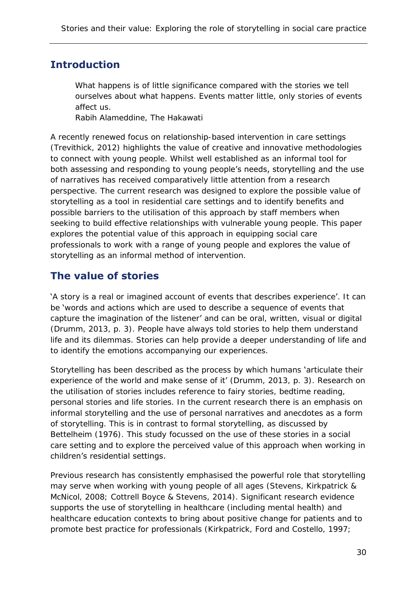# **Introduction**

What happens is of little significance compared with the stories we tell ourselves about what happens. Events matter little, only stories of events affect us.

Rabih Alameddine, The Hakawati

A recently renewed focus on relationship-based intervention in care settings (Trevithick, 2012) highlights the value of creative and innovative methodologies to connect with young people. Whilst well established as an informal tool for both assessing and responding to young people's needs, storytelling and the use of narratives has received comparatively little attention from a research perspective. The current research was designed to explore the possible value of storytelling as a tool in residential care settings and to identify benefits and possible barriers to the utilisation of this approach by staff members when seeking to build effective relationships with vulnerable young people. This paper explores the potential value of this approach in equipping social care professionals to work with a range of young people and explores the value of storytelling as an informal method of intervention.

### **The value of stories**

'A story is a real or imagined account of events that describes experience'. It can be 'words and actions which are used to describe a sequence of events that capture the imagination of the listener' and can be oral, written, visual or digital (Drumm, 2013, p. 3). People have always told stories to help them understand life and its dilemmas. Stories can help provide a deeper understanding of life and to identify the emotions accompanying our experiences.

Storytelling has been described as the process by which humans 'articulate their experience of the world and make sense of it' (Drumm, 2013, p. 3). Research on the utilisation of stories includes reference to fairy stories, bedtime reading, personal stories and life stories. In the current research there is an emphasis on informal storytelling and the use of personal narratives and anecdotes as a form of storytelling. This is in contrast to formal storytelling, as discussed by Bettelheim (1976). This study focussed on the use of these stories in a social care setting and to explore the perceived value of this approach when working in children's residential settings.

Previous research has consistently emphasised the powerful role that storytelling may serve when working with young people of all ages (Stevens, Kirkpatrick & McNicol, 2008; Cottrell Boyce & Stevens, 2014). Significant research evidence supports the use of storytelling in healthcare (including mental health) and healthcare education contexts to bring about positive change for patients and to promote best practice for professionals (Kirkpatrick, Ford and Costello, 1997;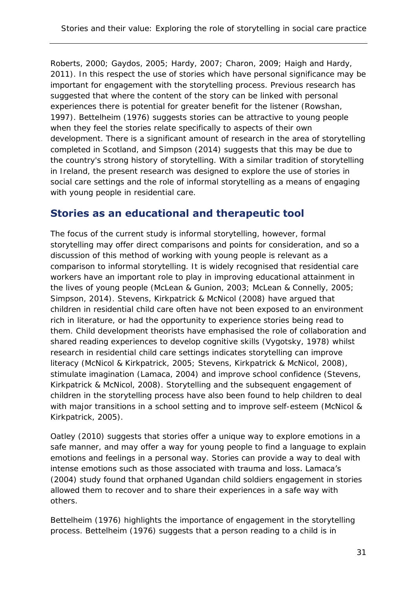Roberts, 2000; Gaydos, 2005; Hardy, 2007; Charon, 2009; Haigh and Hardy, 2011). In this respect the use of stories which have personal significance may be important for engagement with the storytelling process. Previous research has suggested that where the content of the story can be linked with personal experiences there is potential for greater benefit for the listener (Rowshan, 1997). Bettelheim (1976) suggests stories can be attractive to young people when they feel the stories relate specifically to aspects of their own development. There is a significant amount of research in the area of storytelling completed in Scotland, and Simpson (2014) suggests that this may be due to the country's strong history of storytelling. With a similar tradition of storytelling in Ireland, the present research was designed to explore the use of stories in social care settings and the role of informal storytelling as a means of engaging with young people in residential care.

### **Stories as an educational and therapeutic tool**

The focus of the current study is informal storytelling, however, formal storytelling may offer direct comparisons and points for consideration, and so a discussion of this method of working with young people is relevant as a comparison to informal storytelling. It is widely recognised that residential care workers have an important role to play in improving educational attainment in the lives of young people (McLean & Gunion, 2003; McLean & Connelly, 2005; Simpson, 2014). Stevens, Kirkpatrick & McNicol (2008) have argued that children in residential child care often have not been exposed to an environment rich in literature, or had the opportunity to experience stories being read to them. Child development theorists have emphasised the role of collaboration and shared reading experiences to develop cognitive skills (Vygotsky, 1978) whilst research in residential child care settings indicates storytelling can improve literacy (McNicol & Kirkpatrick, 2005; Stevens, Kirkpatrick & McNicol, 2008), stimulate imagination (Lamaca, 2004) and improve school confidence (Stevens, Kirkpatrick & McNicol, 2008). Storytelling and the subsequent engagement of children in the storytelling process have also been found to help children to deal with major transitions in a school setting and to improve self-esteem (McNicol & Kirkpatrick, 2005).

Oatley (2010) suggests that stories offer a unique way to explore emotions in a safe manner, and may offer a way for young people to find a language to explain emotions and feelings in a personal way. Stories can provide a way to deal with intense emotions such as those associated with trauma and loss. Lamaca's (2004) study found that orphaned Ugandan child soldiers engagement in stories allowed them to recover and to share their experiences in a safe way with others.

Bettelheim (1976) highlights the importance of engagement in the storytelling process. Bettelheim (1976) suggests that a person reading to a child is in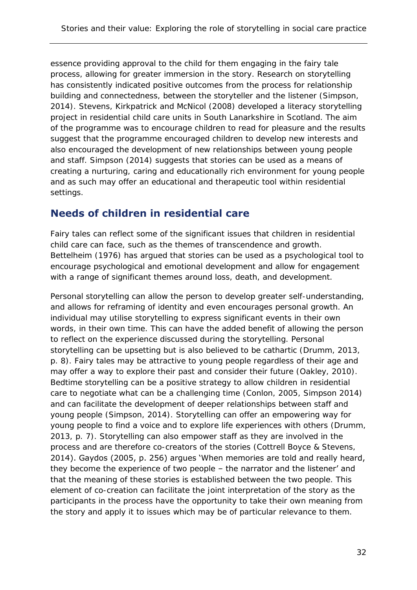essence providing approval to the child for them engaging in the fairy tale process, allowing for greater immersion in the story. Research on storytelling has consistently indicated positive outcomes from the process for relationship building and connectedness, between the storyteller and the listener (Simpson, 2014). Stevens, Kirkpatrick and McNicol (2008) developed a literacy storytelling project in residential child care units in South Lanarkshire in Scotland. The aim of the programme was to encourage children to read for pleasure and the results suggest that the programme encouraged children to develop new interests and also encouraged the development of new relationships between young people and staff. Simpson (2014) suggests that stories can be used as a means of creating a nurturing, caring and educationally rich environment for young people and as such may offer an educational and therapeutic tool within residential settings.

### **Needs of children in residential care**

Fairy tales can reflect some of the significant issues that children in residential child care can face, such as the themes of transcendence and growth. Bettelheim (1976) has argued that stories can be used as a psychological tool to encourage psychological and emotional development and allow for engagement with a range of significant themes around loss, death, and development.

Personal storytelling can allow the person to develop greater self-understanding, and allows for reframing of identity and even encourages personal growth. An individual may utilise storytelling to express significant events in their own words, in their own time. This can have the added benefit of allowing the person to reflect on the experience discussed during the storytelling. Personal storytelling can be upsetting but is also believed to be cathartic (Drumm, 2013, p. 8). Fairy tales may be attractive to young people regardless of their age and may offer a way to explore their past and consider their future (Oakley, 2010). Bedtime storytelling can be a positive strategy to allow children in residential care to negotiate what can be a challenging time (Conlon, 2005, Simpson 2014) and can facilitate the development of deeper relationships between staff and young people (Simpson, 2014). Storytelling can offer an empowering way for young people to find a voice and to explore life experiences with others (Drumm, 2013, p. 7). Storytelling can also empower staff as they are involved in the process and are therefore co-creators of the stories (Cottrell Boyce & Stevens, 2014). Gaydos (2005, p. 256) argues 'When memories are told and really heard, they become the experience of two people – the narrator and the listener' and that the meaning of these stories is established between the two people. This element of co-creation can facilitate the joint interpretation of the story as the participants in the process have the opportunity to take their own meaning from the story and apply it to issues which may be of particular relevance to them.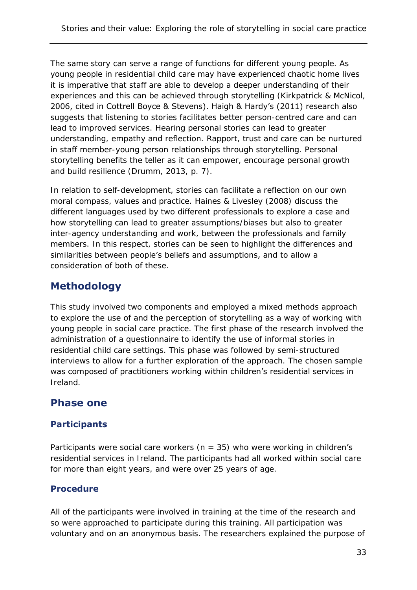The same story can serve a range of functions for different young people. As young people in residential child care may have experienced chaotic home lives it is imperative that staff are able to develop a deeper understanding of their experiences and this can be achieved through storytelling (Kirkpatrick & McNicol, 2006, cited in Cottrell Boyce & Stevens). Haigh & Hardy's (2011) research also suggests that listening to stories facilitates better person-centred care and can lead to improved services. Hearing personal stories can lead to greater understanding, empathy and reflection. Rapport, trust and care can be nurtured in staff member-young person relationships through storytelling. Personal storytelling benefits the teller as it can empower, encourage personal growth and build resilience (Drumm, 2013, p. 7).

In relation to self-development, stories can facilitate a reflection on our own moral compass, values and practice. Haines & Livesley (2008) discuss the different languages used by two different professionals to explore a case and how storytelling can lead to greater assumptions/biases but also to greater inter-agency understanding and work, between the professionals and family members. In this respect, stories can be seen to highlight the differences and similarities between people's beliefs and assumptions, and to allow a consideration of both of these.

# **Methodology**

This study involved two components and employed a mixed methods approach to explore the use of and the perception of storytelling as a way of working with young people in social care practice. The first phase of the research involved the administration of a questionnaire to identify the use of informal stories in residential child care settings. This phase was followed by semi-structured interviews to allow for a further exploration of the approach. The chosen sample was composed of practitioners working within children's residential services in Ireland.

# **Phase one**

### **Participants**

Participants were social care workers ( $n = 35$ ) who were working in children's residential services in Ireland. The participants had all worked within social care for more than eight years, and were over 25 years of age.

#### **Procedure**

All of the participants were involved in training at the time of the research and so were approached to participate during this training. All participation was voluntary and on an anonymous basis. The researchers explained the purpose of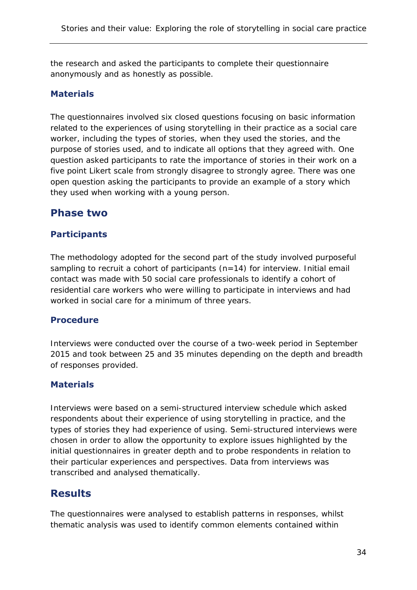the research and asked the participants to complete their questionnaire anonymously and as honestly as possible.

#### **Materials**

The questionnaires involved six closed questions focusing on basic information related to the experiences of using storytelling in their practice as a social care worker, including the types of stories, when they used the stories, and the purpose of stories used, and to indicate all options that they agreed with. One question asked participants to rate the importance of stories in their work on a five point Likert scale from strongly disagree to strongly agree. There was one open question asking the participants to provide an example of a story which they used when working with a young person.

### **Phase two**

#### **Participants**

The methodology adopted for the second part of the study involved purposeful sampling to recruit a cohort of participants (n=14) for interview. Initial email contact was made with 50 social care professionals to identify a cohort of residential care workers who were willing to participate in interviews and had worked in social care for a minimum of three years.

#### **Procedure**

Interviews were conducted over the course of a two-week period in September 2015 and took between 25 and 35 minutes depending on the depth and breadth of responses provided.

#### **Materials**

Interviews were based on a semi-structured interview schedule which asked respondents about their experience of using storytelling in practice, and the types of stories they had experience of using. Semi-structured interviews were chosen in order to allow the opportunity to explore issues highlighted by the initial questionnaires in greater depth and to probe respondents in relation to their particular experiences and perspectives. Data from interviews was transcribed and analysed thematically.

### **Results**

The questionnaires were analysed to establish patterns in responses, whilst thematic analysis was used to identify common elements contained within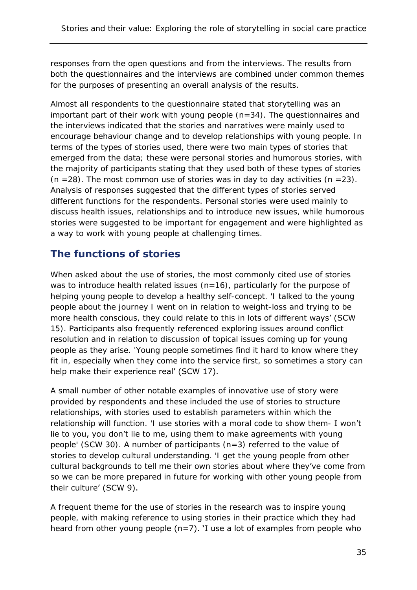responses from the open questions and from the interviews. The results from both the questionnaires and the interviews are combined under common themes for the purposes of presenting an overall analysis of the results.

Almost all respondents to the questionnaire stated that storytelling was an important part of their work with young people (n=34). The questionnaires and the interviews indicated that the stories and narratives were mainly used to encourage behaviour change and to develop relationships with young people. In terms of the types of stories used, there were two main types of stories that emerged from the data; these were personal stories and humorous stories, with the majority of participants stating that they used both of these types of stories (n =28). The most common use of stories was in day to day activities (n =23). Analysis of responses suggested that the different types of stories served different functions for the respondents. Personal stories were used mainly to discuss health issues, relationships and to introduce new issues, while humorous stories were suggested to be important for engagement and were highlighted as a way to work with young people at challenging times.

# **The functions of stories**

When asked about the use of stories, the most commonly cited use of stories was to introduce health related issues (n=16), particularly for the purpose of helping young people to develop a healthy self-concept. 'I talked to the young people about the journey I went on in relation to weight-loss and trying to be more health conscious, they could relate to this in lots of different ways' (SCW 15). Participants also frequently referenced exploring issues around conflict resolution and in relation to discussion of topical issues coming up for young people as they arise. 'Young people sometimes find it hard to know where they fit in, especially when they come into the service first, so sometimes a story can help make their experience real' (SCW 17).

A small number of other notable examples of innovative use of story were provided by respondents and these included the use of stories to structure relationships, with stories used to establish parameters within which the relationship will function. 'I use stories with a moral code to show them- I won't lie to you, you don't lie to me, using them to make agreements with young people' (SCW 30). A number of participants (n=3) referred to the value of stories to develop cultural understanding. 'I get the young people from other cultural backgrounds to tell me their own stories about where they've come from so we can be more prepared in future for working with other young people from their culture' (SCW 9).

A frequent theme for the use of stories in the research was to inspire young people, with making reference to using stories in their practice which they had heard from other young people (n=7). 'I use a lot of examples from people who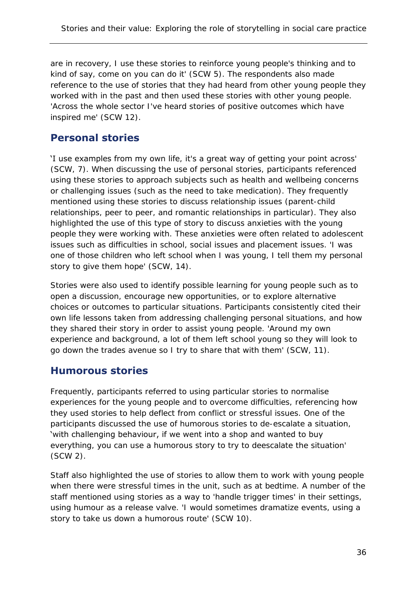are in recovery, I use these stories to reinforce young people's thinking and to kind of say, come on you can do it' (SCW 5). The respondents also made reference to the use of stories that they had heard from other young people they worked with in the past and then used these stories with other young people. 'Across the whole sector I've heard stories of positive outcomes which have inspired me' (SCW 12).

# **Personal stories**

'I use examples from my own life, it's a great way of getting your point across' (SCW, 7). When discussing the use of personal stories, participants referenced using these stories to approach subjects such as health and wellbeing concerns or challenging issues (such as the need to take medication). They frequently mentioned using these stories to discuss relationship issues (parent-child relationships, peer to peer, and romantic relationships in particular). They also highlighted the use of this type of story to discuss anxieties with the young people they were working with. These anxieties were often related to adolescent issues such as difficulties in school, social issues and placement issues. 'I was one of those children who left school when I was young, I tell them my personal story to give them hope' (SCW, 14).

Stories were also used to identify possible learning for young people such as to open a discussion, encourage new opportunities, or to explore alternative choices or outcomes to particular situations. Participants consistently cited their own life lessons taken from addressing challenging personal situations, and how they shared their story in order to assist young people. 'Around my own experience and background, a lot of them left school young so they will look to go down the trades avenue so I try to share that with them' (SCW, 11).

# **Humorous stories**

Frequently, participants referred to using particular stories to normalise experiences for the young people and to overcome difficulties, referencing how they used stories to help deflect from conflict or stressful issues. One of the participants discussed the use of humorous stories to de-escalate a situation, 'with challenging behaviour, if we went into a shop and wanted to buy everything, you can use a humorous story to try to deescalate the situation' (SCW 2).

Staff also highlighted the use of stories to allow them to work with young people when there were stressful times in the unit, such as at bedtime. A number of the staff mentioned using stories as a way to 'handle trigger times' in their settings, using humour as a release valve. 'I would sometimes dramatize events, using a story to take us down a humorous route' (SCW 10).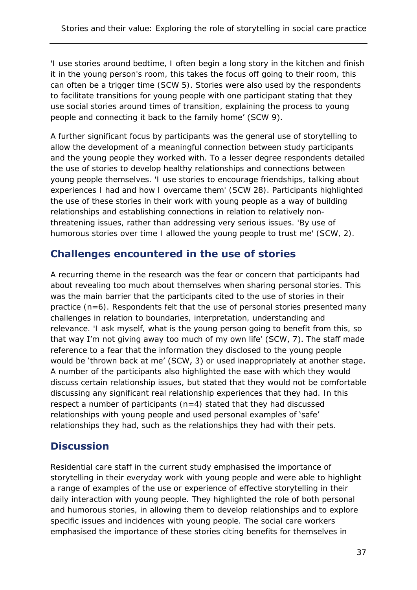'I use stories around bedtime, I often begin a long story in the kitchen and finish it in the young person's room, this takes the focus off going to their room, this can often be a trigger time (SCW 5). Stories were also used by the respondents to facilitate transitions for young people with one participant stating that they use social stories around times of transition, explaining the process to young people and connecting it back to the family home' (SCW 9).

A further significant focus by participants was the general use of storytelling to allow the development of a meaningful connection between study participants and the young people they worked with. To a lesser degree respondents detailed the use of stories to develop healthy relationships and connections between young people themselves. 'I use stories to encourage friendships, talking about experiences I had and how I overcame them' (SCW 28). Participants highlighted the use of these stories in their work with young people as a way of building relationships and establishing connections in relation to relatively nonthreatening issues, rather than addressing very serious issues. 'By use of humorous stories over time I allowed the young people to trust me' (SCW, 2).

### **Challenges encountered in the use of stories**

A recurring theme in the research was the fear or concern that participants had about revealing too much about themselves when sharing personal stories. This was the main barrier that the participants cited to the use of stories in their practice (n=6). Respondents felt that the use of personal stories presented many challenges in relation to boundaries, interpretation, understanding and relevance. 'I ask myself, what is the young person going to benefit from this, so that way I'm not giving away too much of my own life' (SCW, 7). The staff made reference to a fear that the information they disclosed to the young people would be 'thrown back at me' (SCW, 3) or used inappropriately at another stage. A number of the participants also highlighted the ease with which they would discuss certain relationship issues, but stated that they would not be comfortable discussing any significant real relationship experiences that they had. In this respect a number of participants  $(n=4)$  stated that they had discussed relationships with young people and used personal examples of 'safe' relationships they had, such as the relationships they had with their pets.

# **Discussion**

Residential care staff in the current study emphasised the importance of storytelling in their everyday work with young people and were able to highlight a range of examples of the use or experience of effective storytelling in their daily interaction with young people. They highlighted the role of both personal and humorous stories, in allowing them to develop relationships and to explore specific issues and incidences with young people. The social care workers emphasised the importance of these stories citing benefits for themselves in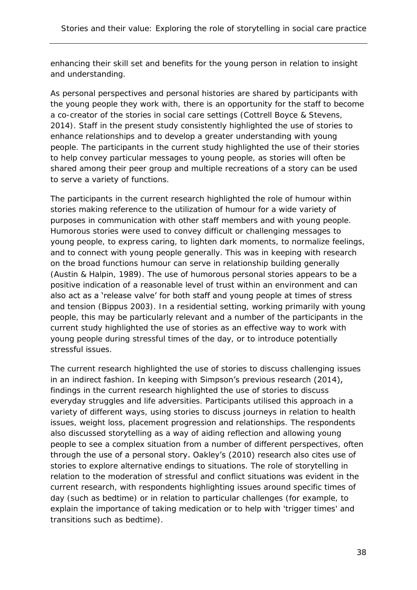enhancing their skill set and benefits for the young person in relation to insight and understanding.

As personal perspectives and personal histories are shared by participants with the young people they work with, there is an opportunity for the staff to become a co-creator of the stories in social care settings (Cottrell Boyce & Stevens, 2014). Staff in the present study consistently highlighted the use of stories to enhance relationships and to develop a greater understanding with young people. The participants in the current study highlighted the use of their stories to help convey particular messages to young people, as stories will often be shared among their peer group and multiple recreations of a story can be used to serve a variety of functions.

The participants in the current research highlighted the role of humour within stories making reference to the utilization of humour for a wide variety of purposes in communication with other staff members and with young people. Humorous stories were used to convey difficult or challenging messages to young people, to express caring, to lighten dark moments, to normalize feelings, and to connect with young people generally. This was in keeping with research on the broad functions humour can serve in relationship building generally (Austin & Halpin, 1989). The use of humorous personal stories appears to be a positive indication of a reasonable level of trust within an environment and can also act as a 'release valve' for both staff and young people at times of stress and tension (Bippus 2003). In a residential setting, working primarily with young people, this may be particularly relevant and a number of the participants in the current study highlighted the use of stories as an effective way to work with young people during stressful times of the day, or to introduce potentially stressful issues.

The current research highlighted the use of stories to discuss challenging issues in an indirect fashion. In keeping with Simpson's previous research (2014), findings in the current research highlighted the use of stories to discuss everyday struggles and life adversities. Participants utilised this approach in a variety of different ways, using stories to discuss journeys in relation to health issues, weight loss, placement progression and relationships. The respondents also discussed storytelling as a way of aiding reflection and allowing young people to see a complex situation from a number of different perspectives, often through the use of a personal story. Oakley's (2010) research also cites use of stories to explore alternative endings to situations. The role of storytelling in relation to the moderation of stressful and conflict situations was evident in the current research, with respondents highlighting issues around specific times of day (such as bedtime) or in relation to particular challenges (for example, to explain the importance of taking medication or to help with 'trigger times' and transitions such as bedtime).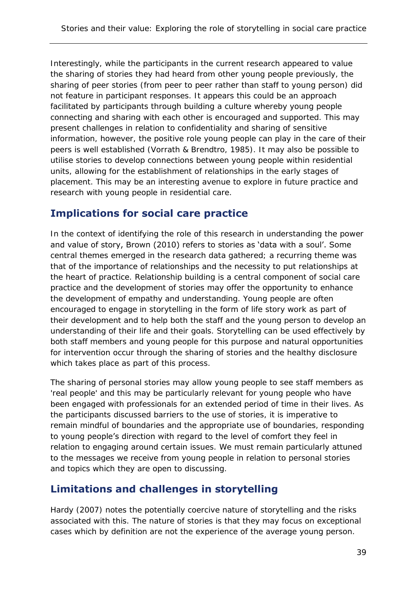Interestingly, while the participants in the current research appeared to value the sharing of stories they had heard from other young people previously, the sharing of peer stories (from peer to peer rather than staff to young person) did not feature in participant responses. It appears this could be an approach facilitated by participants through building a culture whereby young people connecting and sharing with each other is encouraged and supported. This may present challenges in relation to confidentiality and sharing of sensitive information, however, the positive role young people can play in the care of their peers is well established (Vorrath & Brendtro, 1985). It may also be possible to utilise stories to develop connections between young people within residential units, allowing for the establishment of relationships in the early stages of placement. This may be an interesting avenue to explore in future practice and research with young people in residential care.

### **Implications for social care practice**

In the context of identifying the role of this research in understanding the power and value of story, Brown (2010) refers to stories as 'data with a soul'. Some central themes emerged in the research data gathered; a recurring theme was that of the importance of relationships and the necessity to put relationships at the heart of practice. Relationship building is a central component of social care practice and the development of stories may offer the opportunity to enhance the development of empathy and understanding. Young people are often encouraged to engage in storytelling in the form of life story work as part of their development and to help both the staff and the young person to develop an understanding of their life and their goals. Storytelling can be used effectively by both staff members and young people for this purpose and natural opportunities for intervention occur through the sharing of stories and the healthy disclosure which takes place as part of this process.

The sharing of personal stories may allow young people to see staff members as 'real people' and this may be particularly relevant for young people who have been engaged with professionals for an extended period of time in their lives. As the participants discussed barriers to the use of stories, it is imperative to remain mindful of boundaries and the appropriate use of boundaries, responding to young people's direction with regard to the level of comfort they feel in relation to engaging around certain issues. We must remain particularly attuned to the messages we receive from young people in relation to personal stories and topics which they are open to discussing.

# **Limitations and challenges in storytelling**

Hardy (2007) notes the potentially coercive nature of storytelling and the risks associated with this. The nature of stories is that they may focus on exceptional cases which by definition are not the experience of the average young person.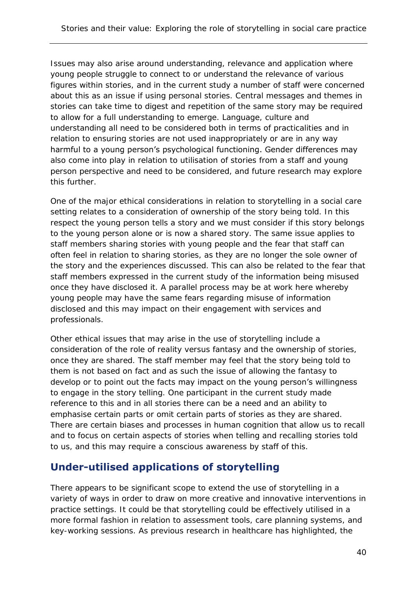Issues may also arise around understanding, relevance and application where young people struggle to connect to or understand the relevance of various figures within stories, and in the current study a number of staff were concerned about this as an issue if using personal stories. Central messages and themes in stories can take time to digest and repetition of the same story may be required to allow for a full understanding to emerge. Language, culture and understanding all need to be considered both in terms of practicalities and in relation to ensuring stories are not used inappropriately or are in any way harmful to a young person's psychological functioning. Gender differences may also come into play in relation to utilisation of stories from a staff and young person perspective and need to be considered, and future research may explore this further.

One of the major ethical considerations in relation to storytelling in a social care setting relates to a consideration of ownership of the story being told. In this respect the young person tells a story and we must consider if this story belongs to the young person alone or is now a shared story. The same issue applies to staff members sharing stories with young people and the fear that staff can often feel in relation to sharing stories, as they are no longer the sole owner of the story and the experiences discussed. This can also be related to the fear that staff members expressed in the current study of the information being misused once they have disclosed it. A parallel process may be at work here whereby young people may have the same fears regarding misuse of information disclosed and this may impact on their engagement with services and professionals.

Other ethical issues that may arise in the use of storytelling include a consideration of the role of reality versus fantasy and the ownership of stories, once they are shared. The staff member may feel that the story being told to them is not based on fact and as such the issue of allowing the fantasy to develop or to point out the facts may impact on the young person's willingness to engage in the story telling. One participant in the current study made reference to this and in all stories there can be a need and an ability to emphasise certain parts or omit certain parts of stories as they are shared. There are certain biases and processes in human cognition that allow us to recall and to focus on certain aspects of stories when telling and recalling stories told to us, and this may require a conscious awareness by staff of this.

# **Under-utilised applications of storytelling**

There appears to be significant scope to extend the use of storytelling in a variety of ways in order to draw on more creative and innovative interventions in practice settings. It could be that storytelling could be effectively utilised in a more formal fashion in relation to assessment tools, care planning systems, and key-working sessions. As previous research in healthcare has highlighted, the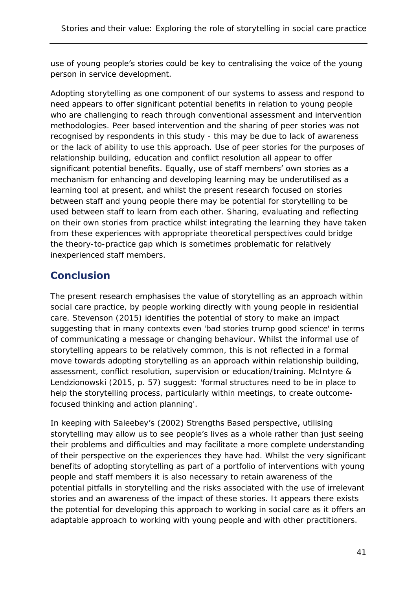use of young people's stories could be key to centralising the voice of the young person in service development.

Adopting storytelling as one component of our systems to assess and respond to need appears to offer significant potential benefits in relation to young people who are challenging to reach through conventional assessment and intervention methodologies. Peer based intervention and the sharing of peer stories was not recognised by respondents in this study - this may be due to lack of awareness or the lack of ability to use this approach. Use of peer stories for the purposes of relationship building, education and conflict resolution all appear to offer significant potential benefits. Equally, use of staff members' own stories as a mechanism for enhancing and developing learning may be underutilised as a learning tool at present, and whilst the present research focused on stories between staff and young people there may be potential for storytelling to be used between staff to learn from each other. Sharing, evaluating and reflecting on their own stories from practice whilst integrating the learning they have taken from these experiences with appropriate theoretical perspectives could bridge the theory-to-practice gap which is sometimes problematic for relatively inexperienced staff members.

### **Conclusion**

The present research emphasises the value of storytelling as an approach within social care practice, by people working directly with young people in residential care. Stevenson (2015) identifies the potential of story to make an impact suggesting that in many contexts even 'bad stories trump good science' in terms of communicating a message or changing behaviour. Whilst the informal use of storytelling appears to be relatively common, this is not reflected in a formal move towards adopting storytelling as an approach within relationship building, assessment, conflict resolution, supervision or education/training. McIntyre & Lendzionowski (2015, p. 57) suggest: 'formal structures need to be in place to help the storytelling process, particularly within meetings, to create outcomefocused thinking and action planning'.

In keeping with Saleebey's (2002) Strengths Based perspective, utilising storytelling may allow us to see people's lives as a whole rather than just seeing their problems and difficulties and may facilitate a more complete understanding of their perspective on the experiences they have had. Whilst the very significant benefits of adopting storytelling as part of a portfolio of interventions with young people and staff members it is also necessary to retain awareness of the potential pitfalls in storytelling and the risks associated with the use of irrelevant stories and an awareness of the impact of these stories. It appears there exists the potential for developing this approach to working in social care as it offers an adaptable approach to working with young people and with other practitioners.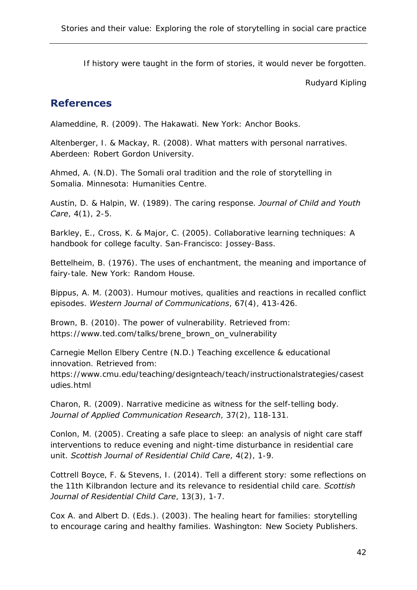If history were taught in the form of stories, it would never be forgotten.

Rudyard Kipling

### **References**

Alameddine, R. (2009). The Hakawati. New York: Anchor Books.

Altenberger, I. & Mackay, R. (2008). What matters with personal narratives. Aberdeen: Robert Gordon University.

Ahmed, A. (N.D). The Somali oral tradition and the role of storytelling in Somalia. Minnesota: Humanities Centre.

Austin, D. & Halpin, W. (1989). The caring response. *Journal of Child and Youth Care*, 4(1), 2-5.

Barkley, E., Cross, K. & Major, C. (2005). Collaborative learning techniques: A handbook for college faculty. San-Francisco: Jossey-Bass.

Bettelheim, B. (1976). The uses of enchantment, the meaning and importance of fairy-tale. New York: Random House.

Bippus, A. M. (2003). Humour motives, qualities and reactions in recalled conflict episodes. *Western Journal of Communications*, 67(4), 413-426.

Brown, B. (2010). The power of vulnerability. Retrieved from: https://www.ted.com/talks/brene\_brown\_on\_vulnerability

Carnegie Mellon Elbery Centre (N.D.) Teaching excellence & educational innovation. Retrieved from:

https://www.cmu.edu/teaching/designteach/teach/instructionalstrategies/casest udies.html

Charon, R. (2009). Narrative medicine as witness for the self-telling body. *Journal of Applied Communication Research*, 37(2), 118-131.

Conlon, M. (2005). Creating a safe place to sleep: an analysis of night care staff interventions to reduce evening and night-time disturbance in residential care unit. *Scottish Journal of Residential Child Care*, 4(2), 1-9.

Cottrell Boyce, F. & Stevens, I. (2014). Tell a different story: some reflections on the 11th Kilbrandon lecture and its relevance to residential child care. *Scottish Journal of Residential Child Care*, 13(3), 1-7.

Cox A. and Albert D. (Eds.). (2003). The healing heart for families: storytelling to encourage caring and healthy families. Washington: New Society Publishers.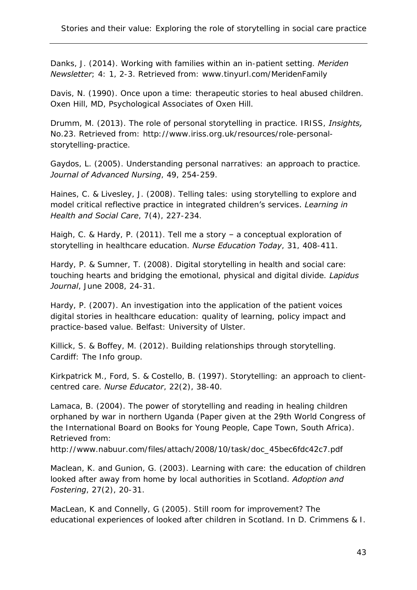Danks, J. (2014). Working with families within an in-patient setting. *Meriden Newsletter*; 4: 1, 2-3. Retrieved from: www.tinyurl.com/MeridenFamily

Davis, N. (1990). Once upon a time: therapeutic stories to heal abused children. Oxen Hill, MD, Psychological Associates of Oxen Hill.

Drumm, M. (2013). The role of personal storytelling in practice. IRISS, *Insights,* No.23. Retrieved from: http://www.iriss.org.uk/resources/role-personalstorytelling-practice.

Gaydos, L. (2005). Understanding personal narratives: an approach to practice. *Journal of Advanced Nursing*, 49, 254-259.

Haines, C. & Livesley, J. (2008). Telling tales: using storytelling to explore and model critical reflective practice in integrated children's services. *Learning in Health and Social Care*, 7(4), 227-234.

Haigh, C. & Hardy, P. (2011). Tell me a story – a conceptual exploration of storytelling in healthcare education. *Nurse Education Today*, 31, 408-411.

Hardy, P. & Sumner, T. (2008). Digital storytelling in health and social care: touching hearts and bridging the emotional, physical and digital divide. *Lapidus Journal*, June 2008, 24-31.

Hardy, P. (2007). An investigation into the application of the patient voices digital stories in healthcare education: quality of learning, policy impact and practice-based value. Belfast: University of Ulster.

Killick, S. & Boffey, M. (2012). Building relationships through storytelling. Cardiff: The Info group.

Kirkpatrick M., Ford, S. & Costello, B. (1997). Storytelling: an approach to clientcentred care. *Nurse Educator*, 22(2), 38-40.

Lamaca, B. (2004). The power of storytelling and reading in healing children orphaned by war in northern Uganda (Paper given at the 29th World Congress of the International Board on Books for Young People, Cape Town, South Africa). Retrieved from:

http://www.nabuur.com/files/attach/2008/10/task/doc\_45bec6fdc42c7.pdf

Maclean, K. and Gunion, G. (2003). Learning with care: the education of children looked after away from home by local authorities in Scotland. *Adoption and Fostering*, 27(2), 20-31.

MacLean, K and Connelly, G (2005). Still room for improvement? The educational experiences of looked after children in Scotland. In D. Crimmens & I.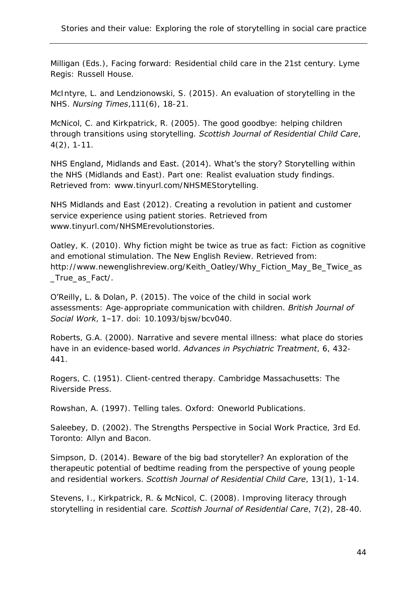Milligan (Eds.), Facing forward: Residential child care in the 21st century. Lyme Regis: Russell House.

McIntyre, L. and Lendzionowski, S. (2015). An evaluation of storytelling in the NHS. *Nursing Times*,111(6), 18-21.

McNicol, C. and Kirkpatrick, R. (2005). The good goodbye: helping children through transitions using storytelling. *Scottish Journal of Residential Child Care*, 4(2), 1-11.

NHS England, Midlands and East. (2014). What's the story? Storytelling within the NHS (Midlands and East). Part one: Realist evaluation study findings. Retrieved from: www.tinyurl.com/NHSMEStorytelling.

NHS Midlands and East (2012). Creating a revolution in patient and customer service experience using patient stories. Retrieved from www.tinyurl.com/NHSMErevolutionstories.

Oatley, K. (2010). Why fiction might be twice as true as fact: Fiction as cognitive and emotional stimulation. The New English Review. Retrieved from: http://www.newenglishreview.org/Keith\_Oatley/Why\_Fiction\_May\_Be\_Twice\_as \_True\_as\_Fact/.

O'Reilly, L. & Dolan, P. (2015). The voice of the child in social work assessments: Age-appropriate communication with children. *British Journal of Social Work*, 1–17. doi: 10.1093/bjsw/bcv040.

Roberts, G.A. (2000). Narrative and severe mental illness: what place do stories have in an evidence-based world. *Advances in Psychiatric Treatment*, 6, 432- 441.

Rogers, C. (1951). Client-centred therapy. Cambridge Massachusetts: The Riverside Press.

Rowshan, A. (1997). Telling tales. Oxford: Oneworld Publications.

Saleebey, D. (2002). The Strengths Perspective in Social Work Practice, 3rd Ed. Toronto: Allyn and Bacon.

Simpson, D. (2014). Beware of the big bad storyteller? An exploration of the therapeutic potential of bedtime reading from the perspective of young people and residential workers. *Scottish Journal of Residential Child Care*, 13(1), 1-14.

Stevens, I., Kirkpatrick, R. & McNicol, C. (2008). Improving literacy through storytelling in residential care. *Scottish Journal of Residential Care*, 7(2), 28-40.